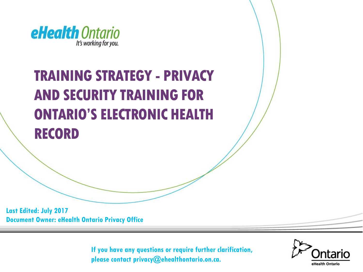

# **TRAINING STRATEGY - PRIVACY AND SECURITY TRAINING FOR ONTARIO'S ELECTRONIC HEALTH RECORD**

**Last Edited: July 2017 Document Owner: eHealth Ontario Privacy Office**

> **If you have any questions or require further clarification, please contact privacy@ehealthontario.on.ca.**

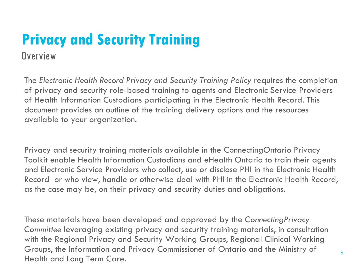# **Privacy and Security Training**

**Overview** 

The *Electronic Health Record Privacy and Security Training Policy* requires the completion of privacy and security role-based training to agents and Electronic Service Providers of Health Information Custodians participating in the Electronic Health Record. This document provides an outline of the training delivery options and the resources available to your organization.

Privacy and security training materials available in the ConnectingOntario Privacy Toolkit enable Health Information Custodians and eHealth Ontario to train their agents and Electronic Service Providers who collect, use or disclose PHI in the Electronic Health Record or who view, handle or otherwise deal with PHI in the Electronic Health Record, as the case may be, on their privacy and security duties and obligations.

These materials have been developed and approved by the *ConnectingPrivacy Committee* leveraging existing privacy and security training materials, in consultation with the Regional Privacy and Security Working Groups, Regional Clinical Working Groups, the Information and Privacy Commissioner of Ontario and the Ministry of Health and Long Term Care.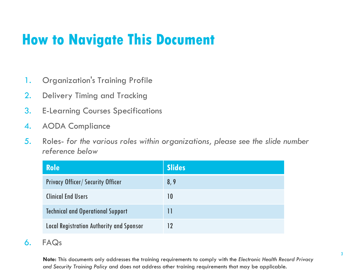## **How to Navigate This Document**

- 1. Organization's Training Profile
- 2. Delivery Timing and Tracking
- 3. E-Learning Courses Specifications
- 4. AODA Compliance
- 5. Roles- *for the various roles within organizations, please see the slide number reference below*

| <b>Role</b>                                     | <b>Slides</b> |
|-------------------------------------------------|---------------|
| <b>Privacy Officer/ Security Officer</b>        | 8,9           |
| <b>Clinical End Users</b>                       | 10            |
| <b>Technical and Operational Support</b>        |               |
| <b>Local Registration Authority and Sponsor</b> |               |

#### 6. FAQs

**Note:** This documents only addresses the training requirements to comply with the *Electronic Health Record Privacy and Security Training Policy* and does not address other training requirements that may be applicable.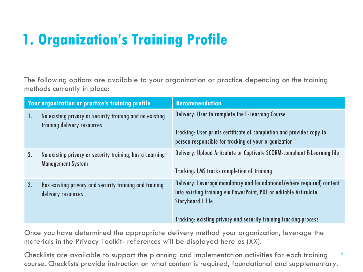# **1. Organization's Training Profile**

The following options are available to your organization or practice depending on the training methods currently in place:

| Your organization or practice's training profile |                                                                                         | <b>Recommendation</b>                                                                                                                                                                                                                        |
|--------------------------------------------------|-----------------------------------------------------------------------------------------|----------------------------------------------------------------------------------------------------------------------------------------------------------------------------------------------------------------------------------------------|
| 1.                                               | No existing privacy or security training and no existing<br>training delivery resources | Delivery: User to complete the E-Learning Course<br>Tracking: User prints certificate of completion and provides copy to<br>person responsible for tracking at your organization                                                             |
| 2.                                               | No existing privacy or security training, has a Learning<br><b>Management System</b>    | Delivery: Upload Articulate or Captivate SCORM-compliant E-Learning file<br>Tracking: LMS tracks completion of training                                                                                                                      |
| 3 <sub>1</sub>                                   | Has existing privacy and security training and training<br>delivery resources           | Delivery: Leverage mandatory and foundational (where required) content<br>into existing training via PowerPoint, PDF or editable Articulate<br><b>Storyboard 1 file</b><br>Tracking: existing privacy and security training tracking process |

Once you have determined the appropriate delivery method your organization, leverage the materials in the Privacy Toolkit- references will be displayed here as (XX).

Checklists are available to support the planning and implementation activities for each training course. Checklists provide instruction on what content is required, foundational and supplementary. 4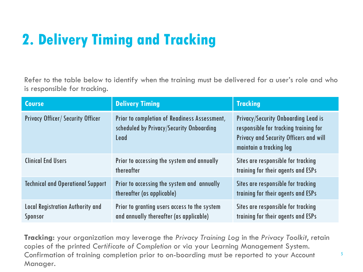# **2. Delivery Timing and Tracking**

Refer to the table below to identify when the training must be delivered for a user's role and who is responsible for tracking.

| <b>Course</b>                                      | <b>Delivery Timing</b>                                                                           | <b>Tracking</b>                                                                                                                                                 |
|----------------------------------------------------|--------------------------------------------------------------------------------------------------|-----------------------------------------------------------------------------------------------------------------------------------------------------------------|
| <b>Privacy Officer/ Security Officer</b>           | Prior to completion of Readiness Assessment,<br>scheduled by Privacy/Security Onboarding<br>Lead | <b>Privacy/Security Onboarding Lead is</b><br>responsible for tracking training for<br><b>Privacy and Security Officers and will</b><br>maintain a tracking log |
| <b>Clinical End Users</b>                          | Prior to accessing the system and annually<br>thereafter                                         | Sites are responsible for tracking<br>training for their agents and ESPs                                                                                        |
| <b>Technical and Operational Support</b>           | Prior to accessing the system and annually<br>thereafter (as applicable)                         | Sites are responsible for tracking<br>training for their agents and ESPs                                                                                        |
| <b>Local Registration Authority and</b><br>Sponsor | Prior to granting users access to the system<br>and annually thereafter (as applicable)          | Sites are responsible for tracking<br>training for their agents and ESPs                                                                                        |

**Tracking:** your organization may leverage the *Privacy Training Log* in the *Privacy Toolkit*, retain copies of the printed *Certificate of Completion* or via your Learning Management System. Confirmation of training completion prior to on-boarding must be reported to your Account Manager.

5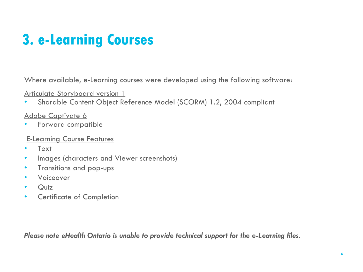# **3. e-Learning Courses**

Where available, e-Learning courses were developed using the following software:

#### Articulate Storyboard version 1

• Sharable Content Object Reference Model (SCORM) 1.2, 2004 compliant

#### Adobe Captivate 6

• Forward compatible

#### E-Learning Course Features

- Text
- Images (characters and Viewer screenshots)
- Transitions and pop-ups
- Voiceover
- Quiz
- Certificate of Completion

*Please note eHealth Ontario is unable to provide technical support for the e-Learning files.*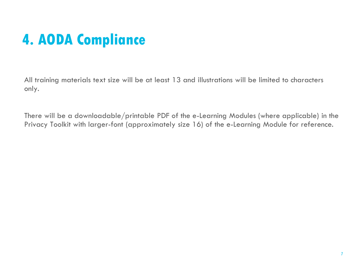## **4. AODA Compliance**

All training materials text size will be at least 13 and illustrations will be limited to characters only.

There will be a downloadable/printable PDF of the e-Learning Modules (where applicable) in the Privacy Toolkit with larger-font (approximately size 16) of the e-Learning Module for reference.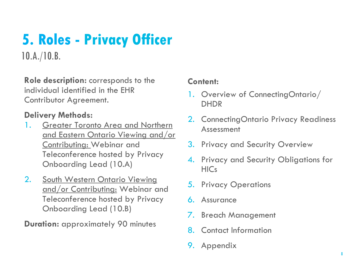# **5. Roles - Privacy Officer**

10.A./10.B.

**Role description:** corresponds to the individual identified in the EHR Contributor Agreement.

#### **Delivery Methods:**

- 1. Greater Toronto Area and Northern and Eastern Ontario Viewing and/or Contributing: Webinar and Teleconference hosted by Privacy Onboarding Lead (10.A)
- 2. South Western Ontario Viewing and/or Contributing: Webinar and Teleconference hosted by Privacy Onboarding Lead (10.B)

**Duration:** approximately 90 minutes

#### **Content:**

- 1. Overview of ConnectingOntario/ DHDR
- 2. ConnectingOntario Privacy Readiness Assessment
- 3. Privacy and Security Overview
- 4. Privacy and Security Obligations for **HICs**
- 5. Privacy Operations
- 6. Assurance
- 7. Breach Management
- 8. Contact Information
- 9. Appendix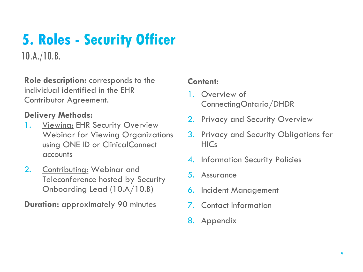# **5. Roles - Security Officer**

10.A./10.B.

**Role description:** corresponds to the individual identified in the EHR Contributor Agreement.

#### **Delivery Methods:**

- 1. **Viewing: EHR Security Overview** Webinar for Viewing Organizations using ONE ID or ClinicalConnect accounts
- 2. Contributing: Webinar and Teleconference hosted by Security Onboarding Lead (10.A/10.B)

**Duration:** approximately 90 minutes

#### **Content:**

- 1. Overview of ConnectingOntario/DHDR
- 2. Privacy and Security Overview
- 3. Privacy and Security Obligations for HICs
- 4. Information Security Policies
- 5. Assurance
- 6. Incident Management
- 7. Contact Information
- 8. Appendix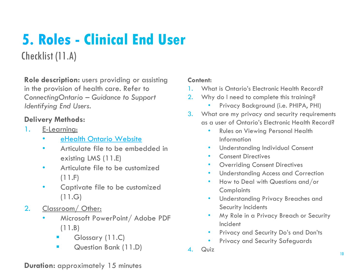# **5. Roles - Clinical End User**

Checklist (11.A)

**Role description:** users providing or assisting in the provision of health care. Refer to *ConnectingOntario – Guidance to Support Identifying End Users*.

#### **Delivery Methods:**

- 1. E-Learning:
	- [eHealth Ontario Website](http://www.ehealthontario.on.ca/en/support/connecting-ontario)
	- Articulate file to be embedded in existing LMS (11.E)
	- Articulate file to be customized (11.F)
	- Captivate file to be customized  $(11.G)$
- 2. Classroom/ Other:
	- Microsoft PowerPoint/ Adobe PDF (11.B)
		- Glossary (11.C)
		- **Question Bank (11.D)**

#### **Content:**

- What is Ontario's Electronic Health Record?
- 2. Why do I need to complete this training?
	- Privacy Background (i.e. PHIPA, PHI)
- 3. What are my privacy and security requirements as a user of Ontario's Electronic Health Record?
	- Rules on Viewing Personal Health Information
	- Understanding Individual Consent
	- Consent Directives
	- Overriding Consent Directives
	- Understanding Access and Correction
	- How to Deal with Questions and/or **Complaints**
	- Understanding Privacy Breaches and Security Incidents
	- My Role in a Privacy Breach or Security Incident
	- Privacy and Security Do's and Don'ts
	- Privacy and Security Safeguards
- 4. Quiz

#### **Duration:** approximately 15 minutes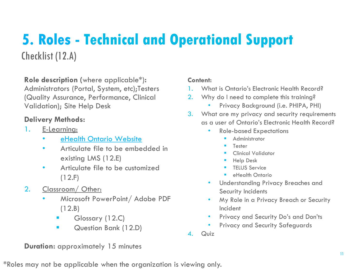## Checklist (12.A) **5. Roles - Technical and Operational Support**

**Role description (**where applicable\*)**:**  Administrators (Portal, System, etc);Testers (Quality Assurance, Performance, Clinical Validation); Site Help Desk

#### **Delivery Methods:**

- 1. E-Learning:
	- [eHealth Ontario Website](http://www.ehealthontario.on.ca/en/support/connecting-ontario)
	- Articulate file to be embedded in existing LMS (12.E)
	- Articulate file to be customized (12.F)
- 2. Classroom/ Other:
	- Microsoft PowerPoint/ Adobe PDF (12.B)
		- Glossary (12.C)
		- **Question Bank (12.D)**

#### **Content:**

- 1. What is Ontario's Electronic Health Record?
- 2. Why do I need to complete this training?
	- Privacy Background (i.e. PHIPA, PHI)
- 3. What are my privacy and security requirements as a user of Ontario's Electronic Health Record?
	- Role-based Expectations
		- Administrator
		- Tester
		- Clinical Validator
		- Help Desk
		- TELUS Service
		- eHealth Ontario
	- Understanding Privacy Breaches and Security Incidents
	- My Role in a Privacy Breach or Security Incident
	- Privacy and Security Do's and Don'ts
	- Privacy and Security Safeguards
- 4. Quiz

#### **Duration:** approximately 15 minutes

\*Roles may not be applicable when the organization is viewing only.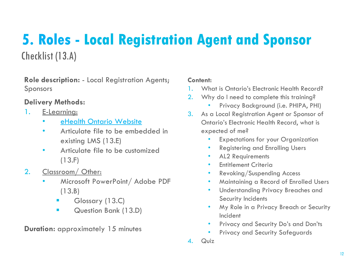## Checklist (13.A) **5. Roles - Local Registration Agent and Sponsor**

**Role description:** - Local Registration Agents; Sponsors

#### **Delivery Methods:**

- 1. E-Learning:
	- [eHealth Ontario Website](http://www.ehealthontario.on.ca/en/support/connecting-ontario)
	- Articulate file to be embedded in existing LMS (13.E)
	- Articulate file to be customized (13.F)
- 2. Classroom/ Other:
	- Microsoft PowerPoint/ Adobe PDF (13.B)
		- **Glossary (13.C)**
		- **Question Bank (13.D)**

**Duration: approximately 15 minutes** 

#### **Content:**

- 1. What is Ontario's Electronic Health Record?
- 2. Why do I need to complete this training?
	- Privacy Background (i.e. PHIPA, PHI)
- 3. As a Local Registration Agent or Sponsor of Ontario's Electronic Health Record, what is expected of me?
	- Expectations for your Organization
	- Registering and Enrolling Users
	- AL2 Requirements
	- Entitlement Criteria
	- Revoking/Suspending Access
	- Maintaining a Record of Enrolled Users
	- Understanding Privacy Breaches and Security Incidents
	- My Role in a Privacy Breach or Security Incident
	- Privacy and Security Do's and Don'ts
	- Privacy and Security Safeguards
- 4. Quiz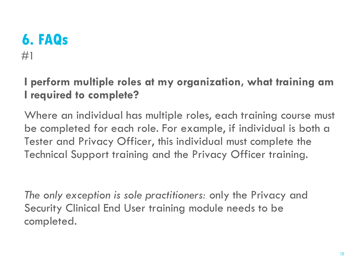## #1 **6. FAQs**

### **I perform multiple roles at my organization, what training am I required to complete?**

Where an individual has multiple roles, each training course must be completed for each role. For example, if individual is both a Tester and Privacy Officer, this individual must complete the Technical Support training and the Privacy Officer training.

*The only exception is sole practitioners:* only the Privacy and Security Clinical End User training module needs to be completed.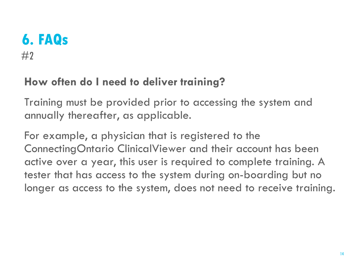## $#2$ **6. FAQs**

### **How often do I need to deliver training?**

Training must be provided prior to accessing the system and annually thereafter, as applicable.

For example, a physician that is registered to the ConnectingOntario ClinicalViewer and their account has been active over a year, this user is required to complete training. A tester that has access to the system during on-boarding but no longer as access to the system, does not need to receive training.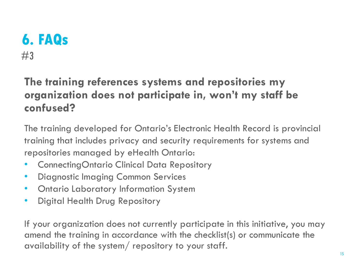## $#3$ **6. FAQs**

### **The training references systems and repositories my organization does not participate in, won't my staff be confused?**

The training developed for Ontario's Electronic Health Record is provincial training that includes privacy and security requirements for systems and repositories managed by eHealth Ontario:

- ConnectingOntario Clinical Data Repository
- Diagnostic Imaging Common Services
- Ontario Laboratory Information System
- Digital Health Drug Repository

If your organization does not currently participate in this initiative, you may amend the training in accordance with the checklist(s) or communicate the availability of the system/ repository to your staff.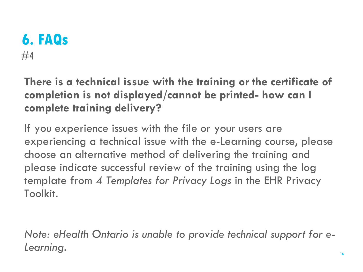## $#4$ **6. FAQs**

**There is a technical issue with the training or the certificate of completion is not displayed/cannot be printed- how can I complete training delivery?**

If you experience issues with the file or your users are experiencing a technical issue with the e-Learning course, please choose an alternative method of delivering the training and please indicate successful review of the training using the log template from *4 Templates for Privacy Logs* in the EHR Privacy Toolkit.

*Note: eHealth Ontario is unable to provide technical support for e-Learning.*